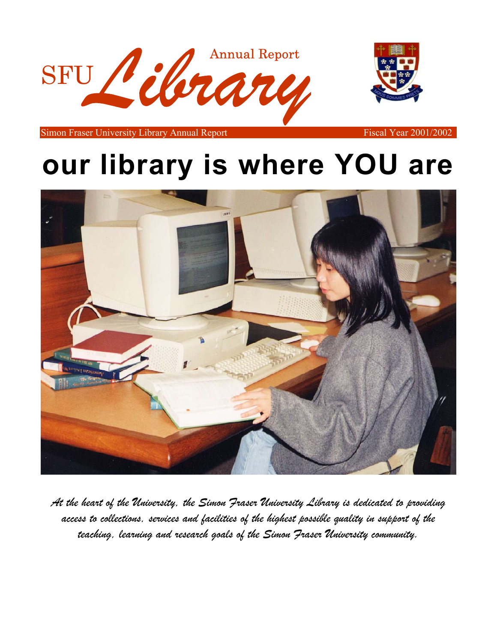



Simon Fraser University Library Annual Report Fiscal Year 2001/2002

# **our library is where YOU are**



*At the heart of the University, the Simon Fraser University Library is dedicated to providing access to collections, services and facilities of the highest possible quality in support of the teaching, learning and research goals of the Simon Fraser University community.*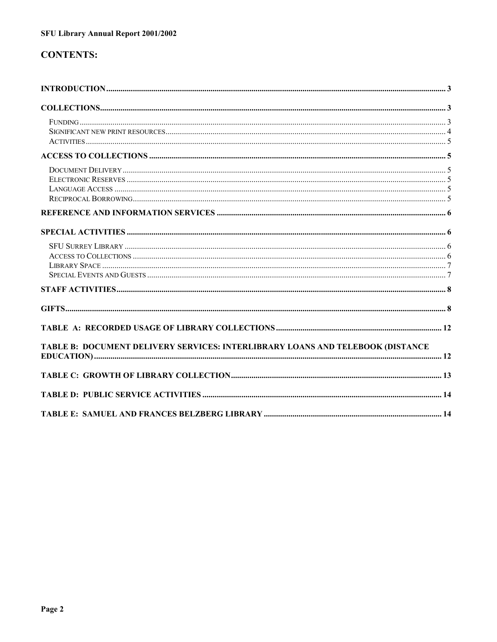## **CONTENTS:**

| TABLE B: DOCUMENT DELIVERY SERVICES: INTERLIBRARY LOANS AND TELEBOOK (DISTANCE |  |
|--------------------------------------------------------------------------------|--|
|                                                                                |  |
|                                                                                |  |
|                                                                                |  |
|                                                                                |  |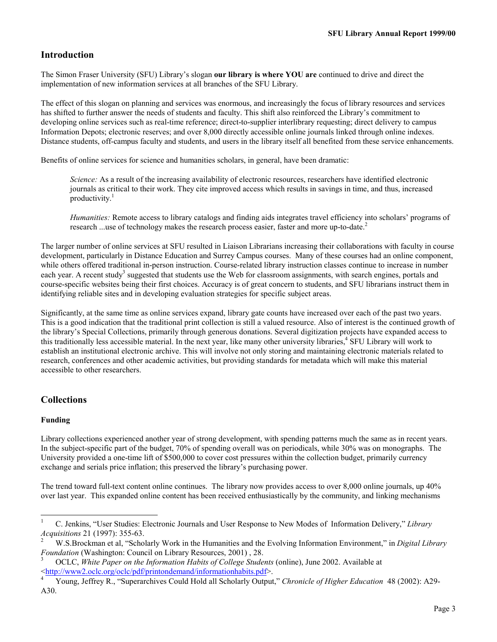## <span id="page-2-0"></span>**Introduction**

The Simon Fraser University (SFU) Library's slogan **our library is where YOU are** continued to drive and direct the implementation of new information services at all branches of the SFU Library.

The effect of this slogan on planning and services was enormous, and increasingly the focus of library resources and services has shifted to further answer the needs of students and faculty. This shift also reinforced the Library's commitment to developing online services such as real-time reference; direct-to-supplier interlibrary requesting; direct delivery to campus Information Depots; electronic reserves; and over 8,000 directly accessible online journals linked through online indexes. Distance students, off-campus faculty and students, and users in the library itself all benefited from these service enhancements.

Benefits of online services for science and humanities scholars, in general, have been dramatic:

*Science:* As a result of the increasing availability of electronic resources, researchers have identified electronic journals as critical to their work. They cite improved access which results in savings in time, and thus, increased productivity. $<sup>1</sup>$ </sup>

*Humanities:* Remote access to library catalogs and finding aids integrates travel efficiency into scholars' programs of research ...use of technology makes the research process easier, faster and more up-to-date.<sup>2</sup>

The larger number of online services at SFU resulted in Liaison Librarians increasing their collaborations with faculty in course development, particularly in Distance Education and Surrey Campus courses. Many of these courses had an online component, while others offered traditional in-person instruction. Course-related library instruction classes continue to increase in number each year. A recent study<sup>3</sup> suggested that students use the Web for classroom assignments, with search engines, portals and course-specific websites being their first choices. Accuracy is of great concern to students, and SFU librarians instruct them in identifying reliable sites and in developing evaluation strategies for specific subject areas.

Significantly, at the same time as online services expand, library gate counts have increased over each of the past two years. This is a good indication that the traditional print collection is still a valued resource. Also of interest is the continued growth of the library's Special Collections, primarily through generous donations. Several digitization projects have expanded access to this traditionally less accessible material. In the next year, like many other university libraries,<sup>4</sup> SFU Library will work to establish an institutional electronic archive. This will involve not only storing and maintaining electronic materials related to research, conferences and other academic activities, but providing standards for metadata which will make this material accessible to other researchers.

## **Collections**

## **Funding**

Library collections experienced another year of strong development, with spending patterns much the same as in recent years. In the subject-specific part of the budget, 70% of spending overall was on periodicals, while 30% was on monographs. The University provided a one-time lift of \$500,000 to cover cost pressures within the collection budget, primarily currency exchange and serials price inflation; this preserved the library's purchasing power.

The trend toward full-text content online continues. The library now provides access to over 8,000 online journals, up 40% over last year. This expanded online content has been received enthusiastically by the community, and linking mechanisms

 $\overline{1}$ 1 C. Jenkins, "User Studies: Electronic Journals and User Response to New Modes of Information Delivery," *Library Acquisitions* 21 (1997): 355-63. 2

W.S.Brockman et al, "Scholarly Work in the Humanities and the Evolving Information Environment," in *Digital Library Foundation* (Washington: Council on Library Resources, 2001), 28.

OCLC, *White Paper on the Information Habits of College Students* (online), June 2002. Available at [<http://www2.oclc.org/oclc/pdf/printondemand/informationhabits.pdf>.](http://www2.oclc.org/oclc/pdf/printondemand/informationhabits.pdf) [4](http://www2.oclc.org/oclc/pdf/printondemand/informationhabits.pdf)

Young, Jeffrey R., "Superarchives Could Hold all Scholarly Output," *Chronicle of Higher Education* 48 (2002): A29- A30.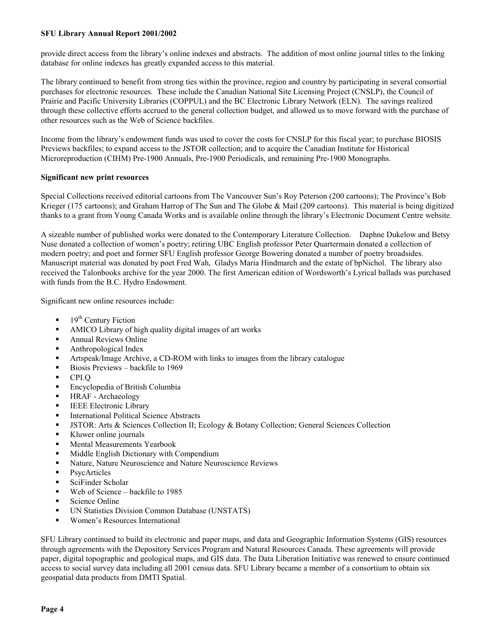<span id="page-3-0"></span>provide direct access from the library's online indexes and abstracts. The addition of most online journal titles to the linking database for online indexes has greatly expanded access to this material.

The library continued to benefit from strong ties within the province, region and country by participating in several consortial purchases for electronic resources. These include the Canadian National Site Licensing Project (CNSLP), the Council of Prairie and Pacific University Libraries (COPPUL) and the BC Electronic Library Network (ELN). The savings realized through these collective efforts accrued to the general collection budget, and allowed us to move forward with the purchase of other resources such as the Web of Science backfiles.

Income from the library's endowment funds was used to cover the costs for CNSLP for this fiscal year; to purchase BIOSIS Previews backfiles; to expand access to the JSTOR collection; and to acquire the Canadian Institute for Historical Microreproduction (CIHM) Pre-1900 Annuals, Pre-1900 Periodicals, and remaining Pre-1900 Monographs.

#### **Significant new print resources**

Special Collections received editorial cartoons from The Vancouver Sun's Roy Peterson (200 cartoons); The Province's Bob Krieger (175 cartoons); and Graham Harrop of The Sun and The Globe & Mail (209 cartoons). This material is being digitized thanks to a grant from Young Canada Works and is available online through the library's Electronic Document Centre website.

A sizeable number of published works were donated to the Contemporary Literature Collection. Daphne Dukelow and Betsy Nuse donated a collection of women's poetry; retiring UBC English professor Peter Quartermain donated a collection of modern poetry; and poet and former SFU English professor George Bowering donated a number of poetry broadsides. Manuscript material was donated by poet Fred Wah, Gladys Maria Hindmarch and the estate of bpNichol. The library also received the Talonbooks archive for the year 2000. The first American edition of Wordsworth's Lyrical ballads was purchased with funds from the B.C. Hydro Endowment.

Significant new online resources include:

- -19<sup>th</sup> Century Fiction
- -AMICO Library of high quality digital images of art works
- -Annual Reviews Online
- -Anthropological Index
- -Artspeak/Image Archive, a CD-ROM with links to images from the library catalogue
- -Biosis Previews – backfile to 1969
- -CPI.Q
- -Encyclopedia of British Columbia
- -HRAF - Archaeology
- -IEEE Electronic Library
- -International Political Science Abstracts
- -JSTOR: Arts & Sciences Collection II; Ecology & Botany Collection; General Sciences Collection
- -Kluwer online journals
- -Mental Measurements Yearbook
- -Middle English Dictionary with Compendium
- -Nature, Nature Neuroscience and Nature Neuroscience Reviews
- -**PsycArticles**
- -SciFinder Scholar
- -Web of Science – backfile to 1985
- -Science Online
- -UN Statistics Division Common Database (UNSTATS)
- -Women's Resources International

SFU Library continued to build its electronic and paper maps, and data and Geographic Information Systems (GIS) resources through agreements with the Depository Services Program and Natural Resources Canada. These agreements will provide paper, digital topographic and geological maps, and GIS data. The Data Liberation Initiative was renewed to ensure continued access to social survey data including all 2001 census data. SFU Library became a member of a consortium to obtain six geospatial data products from DMTI Spatial.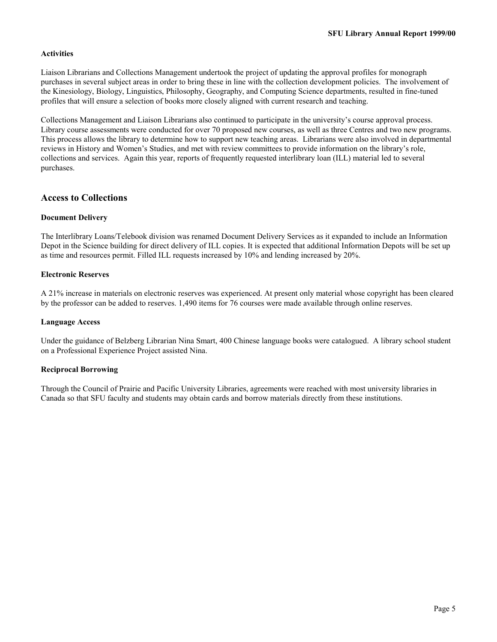## <span id="page-4-0"></span>**Activities**

Liaison Librarians and Collections Management undertook the project of updating the approval profiles for monograph purchases in several subject areas in order to bring these in line with the collection development policies. The involvement of the Kinesiology, Biology, Linguistics, Philosophy, Geography, and Computing Science departments, resulted in fine-tuned profiles that will ensure a selection of books more closely aligned with current research and teaching.

Collections Management and Liaison Librarians also continued to participate in the university's course approval process. Library course assessments were conducted for over 70 proposed new courses, as well as three Centres and two new programs. This process allows the library to determine how to support new teaching areas. Librarians were also involved in departmental reviews in History and Women's Studies, and met with review committees to provide information on the library's role, collections and services. Again this year, reports of frequently requested interlibrary loan (ILL) material led to several purchases.

## **Access to Collections**

#### **Document Delivery**

The Interlibrary Loans/Telebook division was renamed Document Delivery Services as it expanded to include an Information Depot in the Science building for direct delivery of ILL copies. It is expected that additional Information Depots will be set up as time and resources permit. Filled ILL requests increased by 10% and lending increased by 20%.

#### **Electronic Reserves**

A 21% increase in materials on electronic reserves was experienced. At present only material whose copyright has been cleared by the professor can be added to reserves. 1,490 items for 76 courses were made available through online reserves.

#### **Language Access**

Under the guidance of Belzberg Librarian Nina Smart, 400 Chinese language books were catalogued. A library school student on a Professional Experience Project assisted Nina.

#### **Reciprocal Borrowing**

Through the Council of Prairie and Pacific University Libraries, agreements were reached with most university libraries in Canada so that SFU faculty and students may obtain cards and borrow materials directly from these institutions.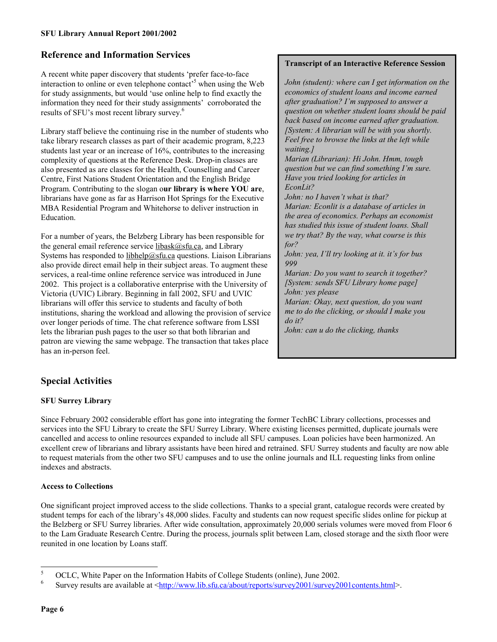## <span id="page-5-0"></span>**Reference and Information Services**

A recent white paper discovery that students 'prefer face-to-face interaction to online or even telephone contact<sup> $5$ </sup> when using the Web for study assignments, but would 'use online help to find exactly the information they need for their study assignments' corroborated the results of SFU's most recent library survey.6

Library staff believe the continuing rise in the number of students who take library research classes as part of their academic program, 8,223 students last year or an increase of 16%, contributes to the increasing complexity of questions at the Reference Desk. Drop-in classes are also presented as are classes for the Health, Counselling and Career Centre, First Nations Student Orientation and the English Bridge Program. Contributing to the slogan o**ur library is where YOU are**, librarians have gone as far as Harrison Hot Springs for the Executive MBA Residential Program and Whitehorse to deliver instruction in Education.

For a number of years, the Belzberg Library has been responsible for the general email reference service libask $(a)$ sfu.ca, and Library Systems has responded to libhelp@sfu.ca questions. Liaison Librarians also provide direct email help in their subject areas. To augment these services, a real-time online reference service was introduced in June 2002. This project is a collaborative enterprise with the University of Victoria (UVIC) Library. Beginning in fall 2002, SFU and UVIC librarians will offer this service to students and faculty of both institutions, sharing the workload and allowing the provision of service over longer periods of time. The chat reference software from LSSI lets the librarian push pages to the user so that both librarian and patron are viewing the same webpage. The transaction that takes place has an in-person feel.

#### **Transcript of an Interactive Reference Session**

*John (student): where can I get information on the economics of student loans and income earned after graduation? I'm supposed to answer a question on whether student loans should be paid back based on income earned after graduation. [System: A librarian will be with you shortly. Feel free to browse the links at the left while waiting.]* 

*Marian (Librarian): Hi John. Hmm, tough question but we can find something I'm sure. Have you tried looking for articles in EconLit?* 

*John: no I haven't what is that? Marian: Econlit is a database of articles in the area of economics. Perhaps an economist has studied this issue of student loans. Shall we try that? By the way, what course is this for?* 

*John: yea, I'll try looking at it. it's for bus 999* 

*Marian: Do you want to search it together? [System: sends SFU Library home page] John: yes please* 

*Marian: Okay, next question, do you want me to do the clicking, or should I make you do it?* 

*John: can u do the clicking, thanks*

## **Special Activities**

## **SFU Surrey Library**

Since February 2002 considerable effort has gone into integrating the former TechBC Library collections, processes and services into the SFU Library to create the SFU Surrey Library. Where existing licenses permitted, duplicate journals were cancelled and access to online resources expanded to include all SFU campuses. Loan policies have been harmonized. An excellent crew of librarians and library assistants have been hired and retrained. SFU Surrey students and faculty are now able to request materials from the other two SFU campuses and to use the online journals and ILL requesting links from online indexes and abstracts.

## **Access to Co**l**lections**

One significant project improved access to the slide collections. Thanks to a special grant, catalogue records were created by student temps for each of the library's 48,000 slides. Faculty and students can now request specific slides online for pickup at the Belzberg or SFU Surrey libraries. After wide consultation, approximately 20,000 serials volumes were moved from Floor 6 to the Lam Graduate Research Centre. During the process, journals split between Lam, closed storage and the sixth floor were reunited in one location by Loans staff.

l

<sup>5</sup> OCLC, White Paper on the Information Habits of College Students (online), June 2002.

<sup>6</sup> Survey results are available at <http://www.lib.sfu.ca/about/reports/survey2001/survey2001contents.html>.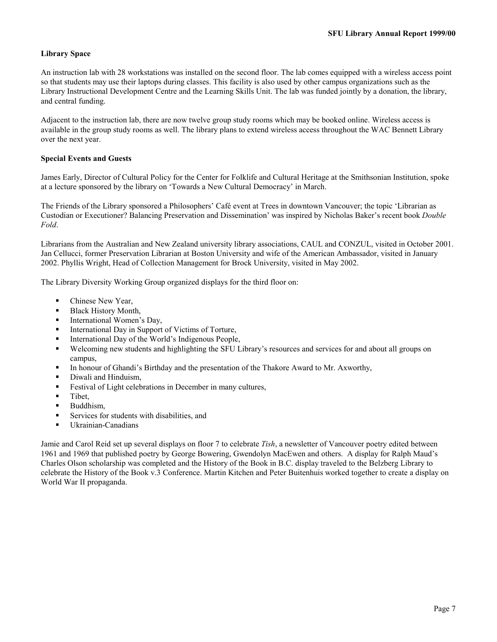## <span id="page-6-0"></span>**Library Space**

An instruction lab with 28 workstations was installed on the second floor. The lab comes equipped with a wireless access point so that students may use their laptops during classes. This facility is also used by other campus organizations such as the Library Instructional Development Centre and the Learning Skills Unit. The lab was funded jointly by a donation, the library, and central funding.

Adjacent to the instruction lab, there are now twelve group study rooms which may be booked online. Wireless access is available in the group study rooms as well. The library plans to extend wireless access throughout the WAC Bennett Library over the next year.

## **Special Events and Guests**

James Early, Director of Cultural Policy for the Center for Folklife and Cultural Heritage at the Smithsonian Institution, spoke at a lecture sponsored by the library on 'Towards a New Cultural Democracy' in March.

The Friends of the Library sponsored a Philosophers' Café event at Trees in downtown Vancouver; the topic 'Librarian as Custodian or Executioner? Balancing Preservation and Dissemination' was inspired by Nicholas Baker's recent book *Double Fold*.

Librarians from the Australian and New Zealand university library associations, CAUL and CONZUL, visited in October 2001. Jan Cellucci, former Preservation Librarian at Boston University and wife of the American Ambassador, visited in January 2002. Phyllis Wright, Head of Collection Management for Brock University, visited in May 2002.

The Library Diversity Working Group organized displays for the third floor on:

- -Chinese New Year,
- -Black History Month,
- -International Women's Day,
- -International Day in Support of Victims of Torture,
- -International Day of the World's Indigenous People,
- - Welcoming new students and highlighting the SFU Library's resources and services for and about all groups on campus,
- -In honour of Ghandi's Birthday and the presentation of the Thakore Award to Mr. Axworthy,
- -Diwali and Hinduism,
- -Festival of Light celebrations in December in many cultures,
- -Tibet,
- -Buddhism,
- -Services for students with disabilities, and
- -Ukrainian-Canadians

Jamie and Carol Reid set up several displays on floor 7 to celebrate *Tish*, a newsletter of Vancouver poetry edited between 1961 and 1969 that published poetry by George Bowering, Gwendolyn MacEwen and others. A display for Ralph Maud's Charles Olson scholarship was completed and the History of the Book in B.C. display traveled to the Belzberg Library to celebrate the History of the Book v.3 Conference. Martin Kitchen and Peter Buitenhuis worked together to create a display on World War II propaganda.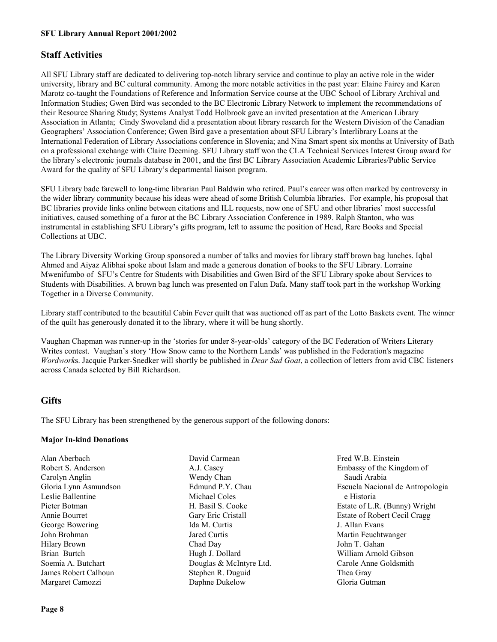## <span id="page-7-0"></span>**Staff Activities**

All SFU Library staff are dedicated to delivering top-notch library service and continue to play an active role in the wider university, library and BC cultural community. Among the more notable activities in the past year: Elaine Fairey and Karen Marotz co-taught the Foundations of Reference and Information Service course at the UBC School of Library Archival and Information Studies; Gwen Bird was seconded to the BC Electronic Library Network to implement the recommendations of their Resource Sharing Study; Systems Analyst Todd Holbrook gave an invited presentation at the American Library Association in Atlanta; Cindy Swoveland did a presentation about library research for the Western Division of the Canadian Geographers' Association Conference; Gwen Bird gave a presentation about SFU Library's Interlibrary Loans at the International Federation of Library Associations conference in Slovenia; and Nina Smart spent six months at University of Bath on a professional exchange with Claire Deeming. SFU Library staff won the CLA Technical Services Interest Group award for the library's electronic journals database in 2001, and the first BC Library Association Academic Libraries/Public Service Award for the quality of SFU Library's departmental liaison program.

SFU Library bade farewell to long-time librarian Paul Baldwin who retired. Paul's career was often marked by controversy in the wider library community because his ideas were ahead of some British Columbia libraries. For example, his proposal that BC libraries provide links online between citations and ILL requests, now one of SFU and other libraries' most successful initiatives, caused something of a furor at the BC Library Association Conference in 1989. Ralph Stanton, who was instrumental in establishing SFU Library's gifts program, left to assume the position of Head, Rare Books and Special Collections at UBC.

The Library Diversity Working Group sponsored a number of talks and movies for library staff brown bag lunches. Iqbal Ahmed and Aiyaz Alibhai spoke about Islam and made a generous donation of books to the SFU Library. Lorraine Mwenifumbo of SFU's Centre for Students with Disabilities and Gwen Bird of the SFU Library spoke about Services to Students with Disabilities. A brown bag lunch was presented on Falun Dafa. Many staff took part in the workshop Working Together in a Diverse Community.

Library staff contributed to the beautiful Cabin Fever quilt that was auctioned off as part of the Lotto Baskets event. The winner of the quilt has generously donated it to the library, where it will be hung shortly.

Vaughan Chapman was runner-up in the 'stories for under 8-year-olds' category of the BC Federation of Writers Literary Writes contest. Vaughan's story 'How Snow came to the Northern Lands' was published in the Federation's magazine *Wordwork*s. Jacquie Parker-Snedker will shortly be published in *Dear Sad Goat*, a collection of letters from avid CBC listeners across Canada selected by Bill Richardson.

## **Gifts**

The SFU Library has been strengthened by the generous support of the following donors:

## **Major In-kind Donations**

Alan Aberbach Robert S. Anderson Carolyn Anglin Gloria Lynn Asmundson Leslie Ballentine Pieter Botman Annie Bourret George Bowering John Brohman Hilary Brown Brian Burtch Soemia A. Butchart James Robert Calhoun Margaret Camozzi

David Carmean A.J. Casey Wendy Chan Edmund P.Y. Chau Michael Coles H. Basil S. Cooke Gary Eric Cristall Ida M. Curtis Jared Curtis Chad Day Hugh J. Dollard Douglas & McIntyre Ltd. Stephen R. Duguid Daphne Dukelow

Fred W.B. Einstein Embassy of the Kingdom of Saudi Arabia Escuela Nacional de Antropologia e Historia Estate of L.R. (Bunny) Wright Estate of Robert Cecil Cragg J. Allan Evans Martin Feuchtwanger John T. Gahan William Arnold Gibson Carole Anne Goldsmith Thea Gray Gloria Gutman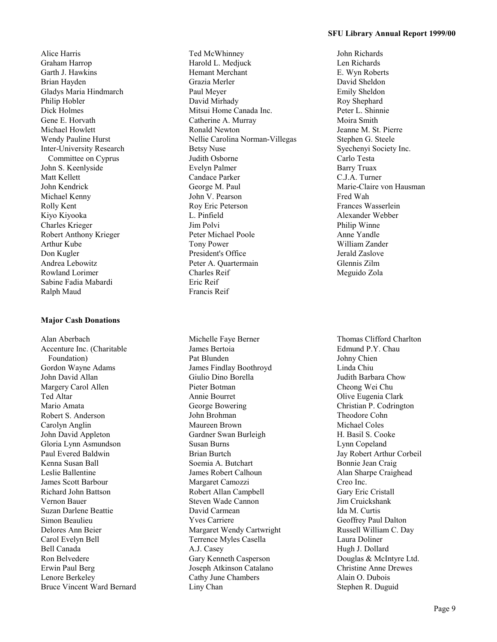Alice Harris Graham Harrop Garth J. Hawkins Brian Hayden Gladys Maria Hindmarch Philip Hobler Dick Holmes Gene E. Horvath Michael Howlett Wendy Pauline Hurst Inter-University Research Committee on Cyprus John S. Keenlyside Matt Kellett John Kendrick Michael Kenny Rolly Kent Kiyo Kiyooka Charles Krieger Robert Anthony Krieger Arthur Kube Don Kugler Andrea Lebowitz Rowland Lorimer Sabine Fadia Mabardi Ralph Maud

#### **Major Cash Donations**

Alan Aberbach Accenture Inc. (Charitable Foundation) Gordon Wayne Adams John David Allan Margery Carol Allen Ted Altar Mario Amata Robert S. Anderson Carolyn Anglin John David Appleton Gloria Lynn Asmundson Paul Evered Baldwin Kenna Susan Ball Leslie Ballentine James Scott Barbour Richard John Battson Vernon Bauer Suzan Darlene Beattie Simon Beaulieu Delores Ann Beier Carol Evelyn Bell Bell Canada Ron Belvedere Erwin Paul Berg Lenore Berkeley Bruce Vincent Ward Bernard Ted McWhinney Harold L. Medjuck Hemant Merchant Grazia Merler Paul Meyer David Mirhady Mitsui Home Canada Inc. Catherine A. Murray Ronald Newton Nellie Carolina Norman-Villegas Betsy Nuse Judith Osborne Evelyn Palmer Candace Parker George M. Paul John V. Pearson Roy Eric Peterson L. Pinfield Jim Polvi Peter Michael Poole Tony Power President's Office Peter A. Quartermain Charles Reif Eric Reif Francis Reif

Michelle Faye Berner James Bertoia Pat Blunden James Findlay Boothroyd Giulio Dino Borella Pieter Botman Annie Bourret George Bowering John Brohman Maureen Brown Gardner Swan Burleigh Susan Burns Brian Burtch Soemia A. Butchart James Robert Calhoun Margaret Camozzi Robert Allan Campbell Steven Wade Cannon David Carmean Yves Carriere Margaret Wendy Cartwright Terrence Myles Casella A.J. Casey Gary Kenneth Casperson Joseph Atkinson Catalano Cathy June Chambers Liny Chan

John Richards Len Richards E. Wyn Roberts David Sheldon Emily Sheldon Roy Shephard Peter L. Shinnie Moira Smith Jeanne M. St. Pierre Stephen G. Steele Syechenyi Society Inc. Carlo Testa Barry Truax C.J.A. Turner Marie-Claire von Hausman Fred Wah Frances Wasserlein Alexander Webber Philip Winne Anne Yandle William Zander Jerald Zaslove Glennis Zilm Meguido Zola

Thomas Clifford Charlton Edmund P.Y. Chau Johny Chien Linda Chiu Judith Barbara Chow Cheong Wei Chu Olive Eugenia Clark Christian P. Codrington Theodore Cohn Michael Coles H. Basil S. Cooke Lynn Copeland Jay Robert Arthur Corbeil Bonnie Jean Craig Alan Sharpe Craighead Creo Inc. Gary Eric Cristall Jim Cruickshank Ida M. Curtis Geoffrey Paul Dalton Russell William C. Day Laura Doliner Hugh J. Dollard Douglas & McIntyre Ltd. Christine Anne Drewes Alain O. Dubois Stephen R. Duguid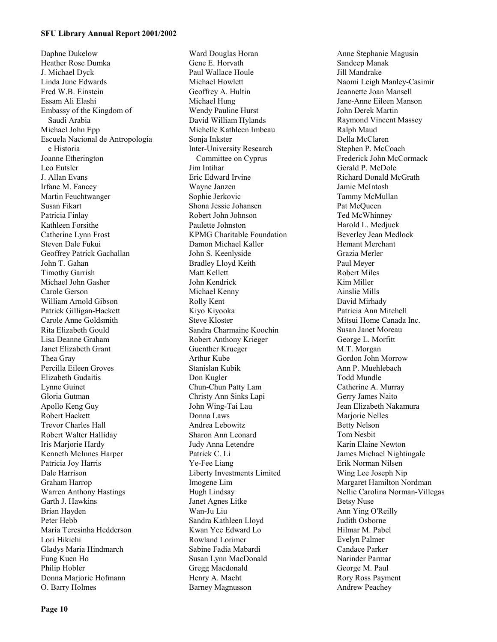Daphne Dukelow Heather Rose Dumka J. Michael Dyck Linda June Edwards Fred W.B. Einstein Essam Ali Elashi Embassy of the Kingdom of Saudi Arabia Michael John Epp Escuela Nacional de Antropologia e Historia Joanne Etherington Leo Eutsler J. Allan Evans Irfane M. Fancey Martin Feuchtwanger Susan Fikart Patricia Finlay Kathleen Forsithe Catherine Lynn Frost Steven Dale Fukui Geoffrey Patrick Gachallan John T. Gahan Timothy Garrish Michael John Gasher Carole Gerson William Arnold Gibson Patrick Gilligan-Hackett Carole Anne Goldsmith Rita Elizabeth Gould Lisa Deanne Graham Janet Elizabeth Grant Thea Gray Percilla Eileen Groves Elizabeth Gudaitis Lynne Guinet Gloria Gutman Apollo Keng Guy Robert Hackett Trevor Charles Hall Robert Walter Halliday Iris Marjorie Hardy Kenneth McInnes Harper Patricia Joy Harris Dale Harrison Graham Harrop Warren Anthony Hastings Garth J. Hawkins Brian Hayden Peter Hebb Maria Teresinha Hedderson Lori Hikichi Gladys Maria Hindmarch Fung Kuen Ho Philip Hobler Donna Marjorie Hofmann O. Barry Holmes

Ward Douglas Horan Gene E. Horvath Paul Wallace Houle Michael Howlett Geoffrey A. Hultin Michael Hung Wendy Pauline Hurst David William Hylands Michelle Kathleen Imbeau Sonja Inkster Inter-University Research Committee on Cyprus Jim Intihar Eric Edward Irvine Wayne Janzen Sophie Jerkovic Shona Jessie Johansen Robert John Johnson Paulette Johnston KPMG Charitable Foundation Damon Michael Kaller John S. Keenlyside Bradley Lloyd Keith Matt Kellett John Kendrick Michael Kenny Rolly Kent Kiyo Kiyooka Steve Kloster Sandra Charmaine Koochin Robert Anthony Krieger Guenther Krueger Arthur Kube Stanislan Kubik Don Kugler Chun-Chun Patty Lam Christy Ann Sinks Lapi John Wing-Tai Lau Donna Laws Andrea Lebowitz Sharon Ann Leonard Judy Anna Letendre Patrick C. Li Ye-Fee Liang Liberty Investments Limited Imogene Lim Hugh Lindsay Janet Agnes Litke Wan-Ju Liu Sandra Kathleen Lloyd Kwan Yee Edward Lo Rowland Lorimer Sabine Fadia Mabardi Susan Lynn MacDonald Gregg Macdonald Henry A. Macht Barney Magnusson

Anne Stephanie Magusin Sandeep Manak Jill Mandrake Naomi Leigh Manley-Casimir Jeannette Joan Mansell Jane-Anne Eileen Manson John Derek Martin Raymond Vincent Massey Ralph Maud Della McClaren Stephen P. McCoach Frederick John McCormack Gerald P. McDole Richard Donald McGrath Jamie McIntosh Tammy McMullan Pat McQueen Ted McWhinney Harold L. Medjuck Beverley Jean Medlock Hemant Merchant Grazia Merler Paul Meyer Robert Miles Kim Miller Ainslie Mills David Mirhady Patricia Ann Mitchell Mitsui Home Canada Inc. Susan Janet Moreau George L. Morfitt M.T. Morgan Gordon John Morrow Ann P. Muehlebach Todd Mundle Catherine A. Murray Gerry James Naito Jean Elizabeth Nakamura Marjorie Nelles Betty Nelson Tom Nesbit Karin Elaine Newton James Michael Nightingale Erik Norman Nilsen Wing Lee Joseph Nip Margaret Hamilton Nordman Nellie Carolina Norman-Villegas Betsy Nuse Ann Ying O'Reilly Judith Osborne Hilmar M. Pabel Evelyn Palmer Candace Parker Narinder Parmar George M. Paul Rory Ross Payment Andrew Peachey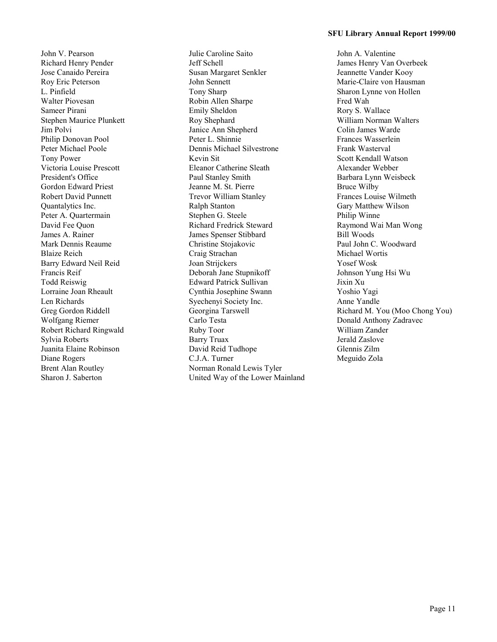John V. Pearson Richard Henry Pender Jose Canaido Pereira Roy Eric Peterson L. Pinfield Walter Piovesan Sameer Pirani Stephen Maurice Plunkett Jim Polvi Philip Donovan Pool Peter Michael Poole Tony Power Victoria Louise Prescott President's Office Gordon Edward Priest Robert David Punnett Quantalytics Inc. Peter A. Quartermain David Fee Quon James A. Rainer Mark Dennis Reaume Blaize Reich Barry Edward Neil Reid Francis Reif Todd Reiswig Lorraine Joan Rheault Len Richards Greg Gordon Riddell Wolfgang Riemer Robert Richard Ringwald Sylvia Roberts Juanita Elaine Robinson Diane Rogers Brent Alan Routley Sharon J. Saberton

Julie Caroline Saito Jeff Schell Susan Margaret Senkler John Sennett Tony Sharp Robin Allen Sharpe Emily Sheldon Roy Shephard Janice Ann Shepherd Peter L. Shinnie Dennis Michael Silvestrone Kevin Sit Eleanor Catherine Sleath Paul Stanley Smith Jeanne M. St. Pierre Trevor William Stanley Ralph Stanton Stephen G. Steele Richard Fredrick Steward James Spenser Stibbard Christine Stojakovic Craig Strachan Joan Strijckers Deborah Jane Stupnikoff Edward Patrick Sullivan Cynthia Josephine Swann Syechenyi Society Inc. Georgina Tarswell Carlo Testa Ruby Toor Barry Truax David Reid Tudhope C.J.A. Turner Norman Ronald Lewis Tyler United Way of the Lower Mainland John A. Valentine James Henry Van Overbeek Jeannette Vander Kooy Marie-Claire von Hausman Sharon Lynne von Hollen Fred Wah Rory S. Wallace William Norman Walters Colin James Warde Frances Wasserlein Frank Wasterval Scott Kendall Watson Alexander Webber Barbara Lynn Weisbeck Bruce Wilby Frances Louise Wilmeth Gary Matthew Wilson Philip Winne Raymond Wai Man Wong Bill Woods Paul John C. Woodward Michael Wortis Yosef Wosk Johnson Yung Hsi Wu Jixin Xu Yoshio Yagi Anne Yandle Richard M. You (Moo Chong You) Donald Anthony Zadravec William Zander Jerald Zaslove Glennis Zilm Meguido Zola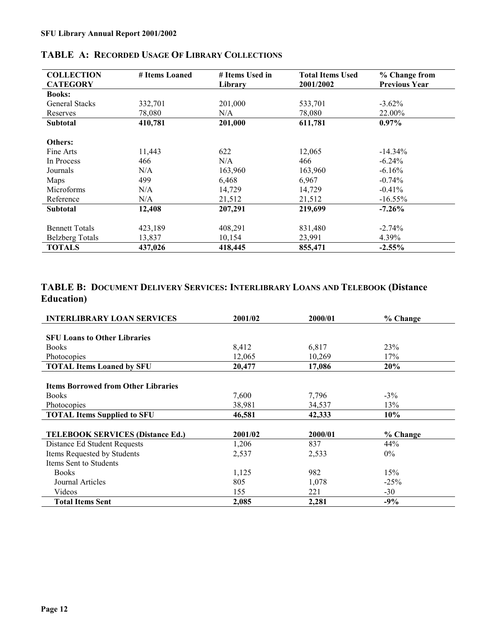| <b>COLLECTION</b>      | # Items Loaned | # Items Used in | <b>Total Items Used</b> | % Change from        |
|------------------------|----------------|-----------------|-------------------------|----------------------|
| <b>CATEGORY</b>        |                | Library         | 2001/2002               | <b>Previous Year</b> |
| <b>Books:</b>          |                |                 |                         |                      |
| <b>General Stacks</b>  | 332,701        | 201,000         | 533,701                 | $-3.62\%$            |
| Reserves               | 78,080         | N/A             | 78,080                  | 22.00%               |
| <b>Subtotal</b>        | 410,781        | 201,000         | 611,781                 | $0.97\%$             |
|                        |                |                 |                         |                      |
| Others:                |                |                 |                         |                      |
| Fine Arts              | 11,443         | 622             | 12,065                  | $-14.34%$            |
| In Process             | 466            | N/A             | 466                     | $-6.24\%$            |
| Journals               | N/A            | 163,960         | 163,960                 | $-6.16%$             |
| Maps                   | 499            | 6,468           | 6,967                   | $-0.74%$             |
| Microforms             | N/A            | 14,729          | 14,729                  | $-0.41%$             |
| Reference              | N/A            | 21,512          | 21,512                  | $-16.55\%$           |
| <b>Subtotal</b>        | 12,408         | 207,291         | 219,699                 | $-7.26%$             |
|                        |                |                 |                         |                      |
| <b>Bennett Totals</b>  | 423,189        | 408,291         | 831,480                 | $-2.74%$             |
| <b>Belzberg Totals</b> | 13,837         | 10,154          | 23,991                  | 4.39%                |
| <b>TOTALS</b>          | 437,026        | 418,445         | 855,471                 | $-2.55%$             |

## <span id="page-11-0"></span>**TABLE A: RECORDED USAGE OF LIBRARY COLLECTIONS**

## **TABLE B: DOCUMENT DELIVERY SERVICES: INTERLIBRARY LOANS AND TELEBOOK (Distance Education)**

| <b>INTERLIBRARY LOAN SERVICES</b>          | 2001/02 | 2000/01 | % Change |
|--------------------------------------------|---------|---------|----------|
|                                            |         |         |          |
| <b>SFU Loans to Other Libraries</b>        |         |         |          |
| <b>Books</b>                               | 8,412   | 6,817   | 23%      |
| Photocopies                                | 12,065  | 10,269  | 17%      |
| <b>TOTAL Items Loaned by SFU</b>           | 20,477  | 17,086  | 20%      |
|                                            |         |         |          |
| <b>Items Borrowed from Other Libraries</b> |         |         |          |
| <b>Books</b>                               | 7,600   | 7,796   | $-3\%$   |
| Photocopies                                | 38,981  | 34,537  | 13%      |
| <b>TOTAL Items Supplied to SFU</b>         | 46,581  | 42,333  | 10%      |
|                                            |         |         |          |
| <b>TELEBOOK SERVICES (Distance Ed.)</b>    | 2001/02 | 2000/01 | % Change |
| Distance Ed Student Requests               | 1,206   | 837     | 44%      |
| Items Requested by Students                | 2,537   | 2,533   | $0\%$    |
| Items Sent to Students                     |         |         |          |
| <b>Books</b>                               | 1,125   | 982     | 15%      |
| Journal Articles                           | 805     | 1,078   | $-25%$   |
| Videos                                     | 155     | 221     | $-30$    |
| <b>Total Items Sent</b>                    | 2,085   | 2,281   | $-9%$    |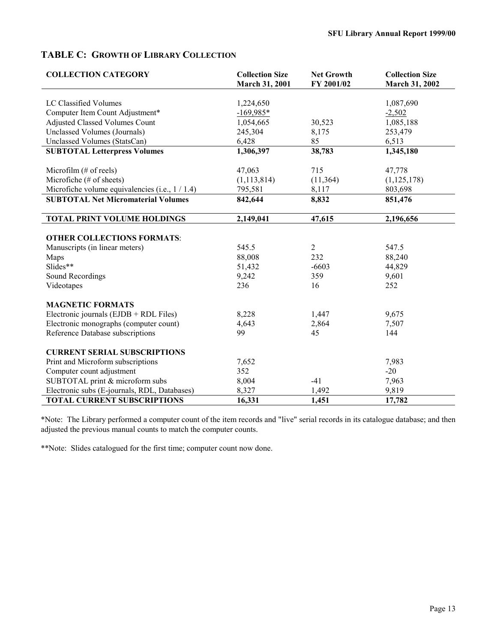## <span id="page-12-0"></span>**TABLE C: GROWTH OF LIBRARY COLLECTION**

| <b>COLLECTION CATEGORY</b>                       | <b>Collection Size</b><br>March 31, 2001 | <b>Net Growth</b><br>FY 2001/02 | <b>Collection Size</b><br>March 31, 2002 |  |
|--------------------------------------------------|------------------------------------------|---------------------------------|------------------------------------------|--|
|                                                  |                                          |                                 |                                          |  |
| LC Classified Volumes                            | 1,224,650                                |                                 | 1,087,690                                |  |
| Computer Item Count Adjustment*                  | $-169,985*$                              |                                 | $-2,502$                                 |  |
| <b>Adjusted Classed Volumes Count</b>            | 1,054,665                                | 30,523                          | 1,085,188                                |  |
| Unclassed Volumes (Journals)                     | 245,304                                  | 8,175                           | 253,479                                  |  |
| Unclassed Volumes (StatsCan)                     | 6,428                                    | 85                              | 6,513                                    |  |
| <b>SUBTOTAL Letterpress Volumes</b>              | 1,306,397                                | 38,783                          | 1,345,180                                |  |
| Microfilm (# of reels)                           | 47,063                                   | 715                             | 47,778                                   |  |
| Microfiche (# of sheets)                         | (1, 113, 814)                            | (11, 364)                       | (1, 125, 178)                            |  |
| Microfiche volume equivalencies (i.e., $1/1.4$ ) | 795,581                                  | 8,117                           | 803,698                                  |  |
| <b>SUBTOTAL Net Micromaterial Volumes</b>        | 842,644                                  | 8,832                           | 851,476                                  |  |
| <b>TOTAL PRINT VOLUME HOLDINGS</b>               | 2,149,041                                | 47,615                          | 2,196,656                                |  |
| <b>OTHER COLLECTIONS FORMATS:</b>                |                                          |                                 |                                          |  |
| Manuscripts (in linear meters)                   | 545.5                                    | 2                               | 547.5                                    |  |
| Maps                                             | 88,008                                   | 232                             | 88,240                                   |  |
| Slides**                                         | 51,432                                   | $-6603$                         | 44,829                                   |  |
| Sound Recordings                                 | 9,242                                    | 359                             | 9,601                                    |  |
| Videotapes                                       | 236                                      | 16                              | 252                                      |  |
| <b>MAGNETIC FORMATS</b>                          |                                          |                                 |                                          |  |
| Electronic journals (EJDB + RDL Files)           | 8,228                                    | 1,447                           | 9,675                                    |  |
| Electronic monographs (computer count)           | 4,643                                    | 2,864                           | 7,507                                    |  |
| Reference Database subscriptions                 | 99                                       | 45                              | 144                                      |  |
| <b>CURRENT SERIAL SUBSCRIPTIONS</b>              |                                          |                                 |                                          |  |
| Print and Microform subscriptions                | 7,652                                    |                                 | 7,983                                    |  |
| Computer count adjustment                        | 352                                      |                                 | $-20$                                    |  |
| SUBTOTAL print & microform subs                  | 8,004                                    | $-41$                           | 7,963                                    |  |
| Electronic subs (E-journals, RDL, Databases)     | 8,327                                    | 1,492                           | 9,819                                    |  |
| <b>TOTAL CURRENT SUBSCRIPTIONS</b>               | 16,331                                   | 1,451                           | 17,782                                   |  |

\*Note: The Library performed a computer count of the item records and "live" serial records in its catalogue database; and then adjusted the previous manual counts to match the computer counts.

\*\*Note: Slides catalogued for the first time; computer count now done.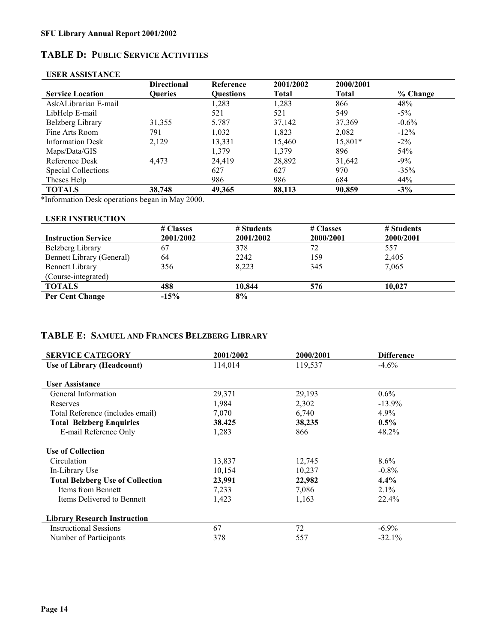## <span id="page-13-0"></span>**TABLE D: PUBLIC SERVICE ACTIVITIES**

|                            | <b>Directional</b> | Reference        | 2001/2002 | 2000/2001    |          |
|----------------------------|--------------------|------------------|-----------|--------------|----------|
| <b>Service Location</b>    | <b>Oueries</b>     | <b>Ouestions</b> | Total     | <b>Total</b> | % Change |
| AskALibrarian E-mail       |                    | 1,283            | 1,283     | 866          | 48%      |
| LibHelp E-mail             |                    | 521              | 521       | 549          | $-5\%$   |
| Belzberg Library           | 31,355             | 5,787            | 37,142    | 37,369       | $-0.6\%$ |
| Fine Arts Room             | 791                | 1,032            | 1,823     | 2,082        | $-12\%$  |
| <b>Information Desk</b>    | 2,129              | 13,331           | 15,460    | 15,801*      | $-2\%$   |
| Maps/Data/GIS              |                    | 1,379            | 1,379     | 896          | 54%      |
| Reference Desk             | 4.473              | 24.419           | 28,892    | 31,642       | $-9\%$   |
| <b>Special Collections</b> |                    | 627              | 627       | 970          | $-35%$   |
| Theses Help                |                    | 986              | 986       | 684          | 44%      |
| <b>TOTALS</b>              | 38,748             | 49,365           | 88,113    | 90,859       | $-3\%$   |

### **USER ASSISTANCE**

\*Information Desk operations began in May 2000.

#### **USER INSTRUCTION**

|                                  | # Classes | # Students | # Classes | # Students |
|----------------------------------|-----------|------------|-----------|------------|
| <b>Instruction Service</b>       | 2001/2002 | 2001/2002  | 2000/2001 | 2000/2001  |
| Belzberg Library                 | 67        | 378        | 72        | 557        |
| <b>Bennett Library (General)</b> | 64        | 2242       | 159       | 2,405      |
| <b>Bennett Library</b>           | 356       | 8.223      | 345       | 7,065      |
| (Course-integrated)              |           |            |           |            |
| <b>TOTALS</b>                    | 488       | 10.844     | 576       | 10.027     |
| Per Cent Change                  | $-15%$    | 8%         |           |            |

## **TABLE E: SAMUEL AND FRANCES BELZBERG LIBRARY**

| <b>SERVICE CATEGORY</b>                 | 2001/2002 | 2000/2001 | <b>Difference</b> |
|-----------------------------------------|-----------|-----------|-------------------|
| Use of Library (Headcount)              | 114,014   | 119,537   | $-4.6\%$          |
|                                         |           |           |                   |
| <b>User Assistance</b>                  |           |           |                   |
| General Information                     | 29,371    | 29,193    | $0.6\%$           |
| Reserves                                | 1,984     | 2,302     | $-13.9\%$         |
| Total Reference (includes email)        | 7,070     | 6,740     | 4.9%              |
| <b>Total Belzberg Enquiries</b>         | 38,425    | 38,235    | $0.5\%$           |
| E-mail Reference Only                   | 1,283     | 866       | 48.2%             |
|                                         |           |           |                   |
| <b>Use of Collection</b>                |           |           |                   |
| Circulation                             | 13,837    | 12,745    | 8.6%              |
| In-Library Use                          | 10,154    | 10,237    | $-0.8\%$          |
| <b>Total Belzberg Use of Collection</b> | 23,991    | 22,982    | $4.4\%$           |
| Items from Bennett                      | 7,233     | 7,086     | $2.1\%$           |
| Items Delivered to Bennett              | 1,423     | 1,163     | 22.4%             |
|                                         |           |           |                   |
| <b>Library Research Instruction</b>     |           |           |                   |
| <b>Instructional Sessions</b>           | 67        | 72        | $-6.9\%$          |
| Number of Participants                  | 378       | 557       | $-32.1%$          |